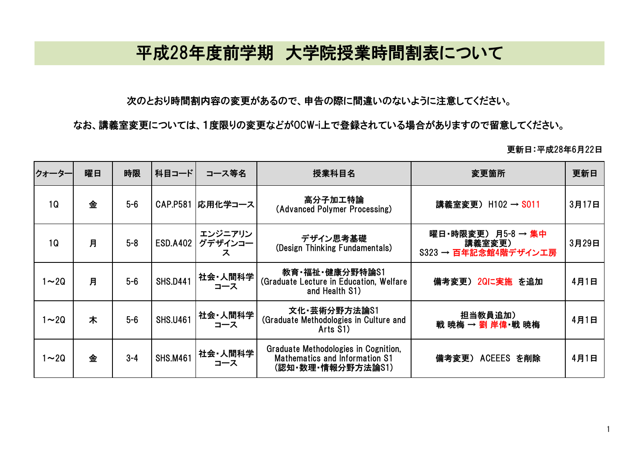## 平成28年度前学期 大学院授業時間割表について

次のとおり時間割内容の変更があるので、申告の際に間違いのないように注意してください。

なお、講義室変更については、1度限りの変更などがOCW-i上で登録されている場合がありますので留意してください。

更新日:平成28年6月22日

| クォーター          | 曜日 | 時限      | 科目コード           | コース等名                   | 授業科目名                                                                                              | 変更箇所                                                 | 更新日   |
|----------------|----|---------|-----------------|-------------------------|----------------------------------------------------------------------------------------------------|------------------------------------------------------|-------|
| 1 <sub>Q</sub> | 金  | $5-6$   | <b>CAP.P581</b> | 応用化学コース                 | 高分子加工特論<br>(Advanced Polymer Processing)                                                           | 講義室変更) H102 → S011                                   | 3月17日 |
| 1 <sub>Q</sub> | 月  | $5 - 8$ | <b>ESD.A402</b> | エンジニアリン<br>グデザインコー<br>ス | デザイン思考基礎<br>(Design Thinking Fundamentals)                                                         | 曜日·時限変更) 月5-8 → 集中<br>講義室変更)<br>S323 → 百年記念館4階デザイン工房 | 3月29日 |
| $\sim$ 20      | 月  | $5-6$   | <b>SHS.D441</b> | 社会・人間科学<br>コース          | 教育·福祉·健康分野特論S1<br>(Graduate Lecture in Education, Welfare<br>and Health S1)                        | 備考変更) 2Qに実施 を追加                                      | 4月1日  |
| $1 - 2Q$       | 木  | $5-6$   | <b>SHS.U461</b> | 社会・人間科学<br>コース          | 文化·芸術分野方法論S1<br>(Graduate Methodologies in Culture and<br>Arts S1)                                 | 担当教員追加)<br>戦 暁梅 → 劉 岸偉 戦 暁梅                          | 4月1日  |
| $1\sim$ 2Q     | 金  | $3 - 4$ | <b>SHS.M461</b> | 社会·人間科学<br>コース          | Graduate Methodologies in Cognition,<br><b>Mathematics and Information S1</b><br>(認知·数理·情報分野方法論S1) | <b>ACEEES を削除</b><br>備考変更)                           | 4月1日  |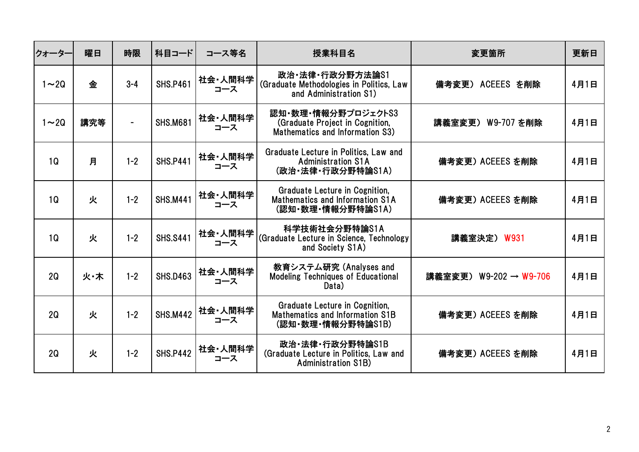| クォーター          | 曜日  | 時限                       | 科目コード           | コース等名          | 授業科目名                                                                                         | 変更箇所                   | 更新日  |
|----------------|-----|--------------------------|-----------------|----------------|-----------------------------------------------------------------------------------------------|------------------------|------|
| $1 \sim 20$    | 金   | $3 - 4$                  | <b>SHS.P461</b> | 社会・人間科学<br>コース | 政治·法律·行政分野方法論S1<br>(Graduate Methodologies in Politics, Law<br>and Administration S1)         | 備考変更) ACEEES を削除       | 4月1日 |
| $1 - 20$       | 講究等 | $\overline{\phantom{0}}$ | <b>SHS.M681</b> | 社会・人間科学<br>コース | 認知・数理・情報分野プロジェクトS3<br>(Graduate Project in Cognition,<br>Mathematics and Information S3)      | 講義室変更) W9-707 を削除      | 4月1日 |
| 1Q             | 月   | $1 - 2$                  | <b>SHS.P441</b> | 社会・人間科学<br>コース | Graduate Lecture in Politics, Law and<br><b>Administration S1A</b><br>(政治·法律·行政分野特論S1A)       | 備考変更) ACEEES を削除       | 4月1日 |
| 1Q             | 火   | $1 - 2$                  | <b>SHS.M441</b> | 社会・人間科学<br>コース | <b>Graduate Lecture in Cognition,</b><br>Mathematics and Information S1A<br>(認知·数理·情報分野特論S1A) | 備考変更) ACEEES を削除       | 4月1日 |
| 1 <sub>Q</sub> | 火   | $1 - 2$                  | <b>SHS.S441</b> | 社会·人間科学<br>コース | 科学技術社会分野特論S1A<br>(Graduate Lecture in Science, Technology<br>and Society S1A)                 | 講義室決定) W931            | 4月1日 |
| 2Q             | 火·木 | $1 - 2$                  | <b>SHS.D463</b> | 社会·人間科学<br>コース | 教育システム研究 (Analyses and<br><b>Modeling Techniques of Educational</b><br>Data)                  | 講義室変更) W9-202 → W9-706 | 4月1日 |
| 2Q             | 火   | $1 - 2$                  | <b>SHS.M442</b> | 社会・人間科学<br>コース | <b>Graduate Lecture in Cognition,</b><br>Mathematics and Information S1B<br>(認知・数理・情報分野特論S1B) | 備考変更) ACEEES を削除       | 4月1日 |
| 2Q             | 火   | $1 - 2$                  | <b>SHS.P442</b> | 社会・人間科学<br>コース | 政治·法律·行政分野特論S1B<br>(Graduate Lecture in Politics, Law and<br><b>Administration S1B)</b>       | 備考変更) ACEEES を削除       | 4月1日 |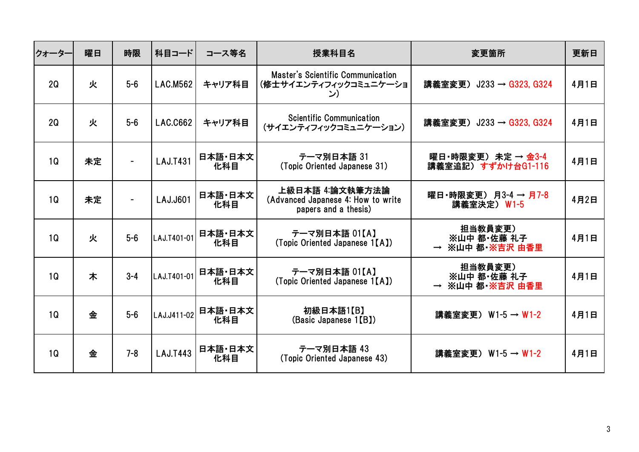| クォーター          | 曜日 | 時限      | 科目コード           | コース等名          | 授業科目名                                                                         | 変更箇所                                      | 更新日  |
|----------------|----|---------|-----------------|----------------|-------------------------------------------------------------------------------|-------------------------------------------|------|
| 2Q             | 火  | $5-6$   | <b>LAC.M562</b> | キャリア科目         | Master's Scientific Communication<br>(修士サイエンティフィックコミュニケーショ<br>ン)              | 講義室変更) J233 → G323, G324                  | 4月1日 |
| 2Q             | 火  | $5-6$   | <b>LAC.C662</b> | キャリア科目         | <b>Scientific Communication</b><br>(サイエンティフィックコミュニケーション)                      | 講義室変更) J233 → G323, G324                  | 4月1日 |
| 1Q             | 未定 |         | <b>LAJ.T431</b> | 日本語·日本文<br>化科目 | テーマ別日本語 31<br>(Topic Oriented Japanese 31)                                    | 曜日·時限変更) 未定 → 金3-4<br>講義室追記) すずかけ台G1-116  | 4月1日 |
| 1Q             | 未定 |         | LAJ.J601        | 日本語·日本文<br>化科目 | 上級日本語 4:論文執筆方法論<br>(Advanced Japanese 4: How to write<br>papers and a thesis) | 曜日·時限変更) 月3-4 → 月7-8<br>講義室決定) W1-5       | 4月2日 |
| 1 <sub>Q</sub> | 火  | $5-6$   | LAJ.T401-01     | 日本語 日本文<br>化科目 | テーマ別日本語 01【A】<br>(Topic Oriented Japanese 1[A])                               | 担当教員変更)<br>※山中 都・佐藤 礼子<br>→ ※山中 都·※吉沢 由香里 | 4月1日 |
| 1Q             | 木  | $3 - 4$ | LAJ.T401-01     | 日本語·日本文<br>化科目 | テーマ別日本語 01【A】<br>(Topic Oriented Japanese 1[A])                               | 担当教員変更)<br>※山中 都·佐藤 礼子<br>→ ※山中 都·※吉沢 由香里 | 4月1日 |
| 1Q             | 金  | $5-6$   | LAJ.J411-02     | 日本語·日本文<br>化科目 | 初級日本語1【B】<br>(Basic Japanese 1[B])                                            | 講義室変更) W1-5 → W1-2                        | 4月1日 |
| 1 <sub>Q</sub> | 金  | $7 - 8$ | <b>LAJ.T443</b> | 日本語·日本文<br>化科目 | テーマ別日本語 43<br>(Topic Oriented Japanese 43)                                    | 講義室変更) W1-5 → W1-2                        | 4月1日 |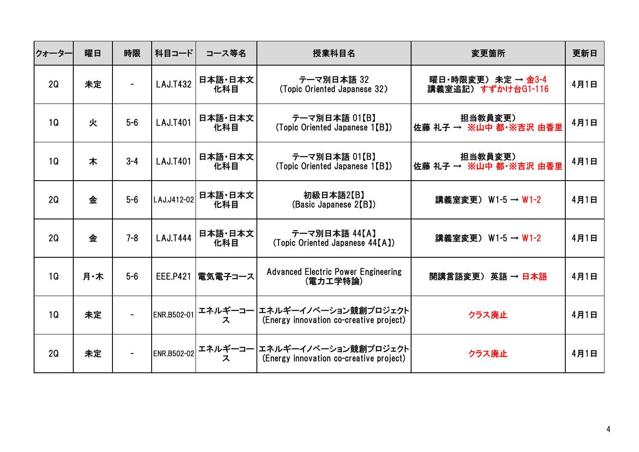| クォーター | 曜日  | 時限      | 科目コード           | コース等名          | 授業科目名                                                                     | 変更箇所                                     | 更新日  |
|-------|-----|---------|-----------------|----------------|---------------------------------------------------------------------------|------------------------------------------|------|
| 2Q    | 未定  |         | <b>LAJ.T432</b> | 日本語·日本文<br>化科目 | テーマ別日本語 32<br>(Topic Oriented Japanese 32)                                | 曜日·時限変更) 未定 → 金3-4<br>講義室追記) すずかけ台G1-116 | 4月1日 |
| 1Q    | 火   | $5-6$   | <b>LAJ.T401</b> | 日本語·日本文<br>化科目 | テーマ別日本語 01【B】<br>(Topic Oriented Japanese 1[B])                           | 担当教員変更)<br>佐藤 礼子 → ※山中 都・※吉沢 由香里         | 4月1日 |
| 1Q    | 木   | $3 - 4$ | <b>LAJ.T401</b> | 日本語·日本文<br>化科目 | テーマ別日本語 01【B】<br>(Topic Oriented Japanese 1[B])                           | 担当教員変更)<br>佐藤 礼子 → ※山中 都・※吉沢 由香里         | 4月1日 |
| 2Q    | 金   | $5-6$   | LAJ.J412-02     | 日本語·日本文<br>化科目 | 初級日本語2【B】<br>(Basic Japanese 2(B))                                        | 講義室変更) W1-5 → W1-2                       | 4月1日 |
| 2Q    | 金   | $7 - 8$ | <b>LAJ.T444</b> | 日本語·日本文<br>化科目 | テーマ別日本語 44【A】<br>(Topic Oriented Japanese 44[A])                          | 講義室変更) W1-5 → W1-2                       | 4月1日 |
| 1Q    | 月·木 | $5-6$   | <b>EEE.P421</b> | 電気電子コース        | <b>Advanced Electric Power Engineering</b><br>(電力工学特論)                    | 開講言語変更) 英語 → 日本語                         | 4月1日 |
| 1Q    | 未定  |         | ENR.B502-01     | エネルギーコー <br>ス  | エネルギーイノベーション競創プロジェクト<br>(Energy innovation co-creative project)           | クラス廃止                                    | 4月1日 |
| 2Q    | 未定  |         | ENR.B502-02     |                | エネルギーコー エネルギーイノベーション競創プロジェクト<br>ス (Energy innovation co-creative project) | クラス廃止                                    | 4月1日 |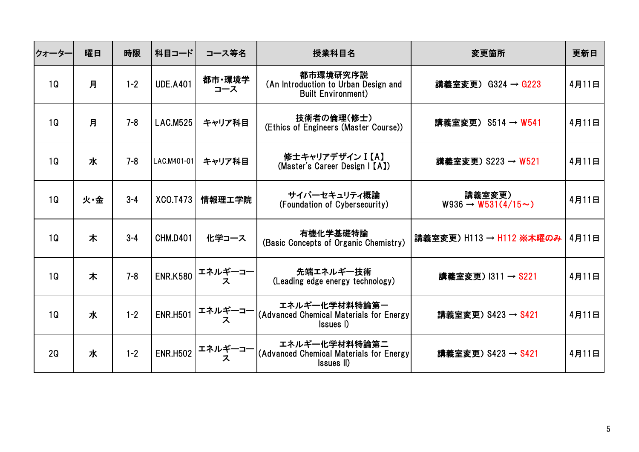| クォーター          | 曜日  | 時限      | 科目コード           | コース等名            | 授業科目名                                                                         | 変更箇所                                         | 更新日   |
|----------------|-----|---------|-----------------|------------------|-------------------------------------------------------------------------------|----------------------------------------------|-------|
| 1Q             | 月   | $1 - 2$ | <b>UDE.A401</b> | 都市·環境学<br>コース    | 都市環境研究序説<br>(An Introduction to Urban Design and<br><b>Built Environment)</b> | 講義室変更) G324 → G223                           | 4月11日 |
| 1 <sub>Q</sub> | 月   | $7 - 8$ | <b>LAC.M525</b> | キャリア科目           | 技術者の倫理(修士)<br>(Ethics of Engineers (Master Course))                           | 講義室変更) S514 → W541                           | 4月11日 |
| 1Q             | 水   | $7 - 8$ | LAC.M401-01     | キャリア科目           | 修士キャリアデザイン I 【A】<br>(Master's Career Design   [A])                            | 講義室変更) S223 → W521                           | 4月11日 |
| 1Q             | 火·金 | $3 - 4$ | XCO.T473        | 情報理工学院           | サイバーセキュリティ概論<br>(Foundation of Cybersecurity)                                 | 講義室変更)<br>$W936 \rightarrow W531(4/15 \sim)$ | 4月11日 |
| 1Q             | 木   | $3 - 4$ | <b>CHM.D401</b> | 化学コース            | 有機化学基礎特論<br>(Basic Concepts of Organic Chemistry)                             | 講義室変更) H113 → H112 ※本曜のみ                     | 4月11日 |
| 1Q             | 木   | $7 - 8$ |                 | ENR.K580 エネルギーコー | 先端エネルギー技術<br>(Leading edge energy technology)                                 | 講義室変更) I311 → S221                           | 4月11日 |
| 1Q             | 水   | $1 - 2$ | <b>ENR.H501</b> | エネルギーコー<br>ス     | エネルギー化学材料特論第一<br>(Advanced Chemical Materials for Energy<br>Issues I)         | 講義室変更) S423 → S421                           | 4月11日 |
| 2Q             | 水   | $1 - 2$ | <b>ENR.H502</b> | エネルギーコー<br>ス     | エネルギー化学材料特論第二<br>(Advanced Chemical Materials for Energy<br>Issues II)        | 講義室変更) S423 → S421                           | 4月11日 |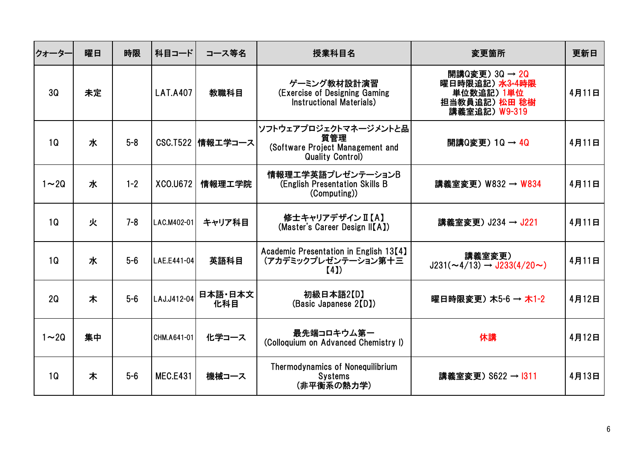| クォーター          | 曜日 | 時限      | 科目コード           | コース等名              | 授業科目名                                                                                       | 変更箇所                                                                                                    | 更新日   |
|----------------|----|---------|-----------------|--------------------|---------------------------------------------------------------------------------------------|---------------------------------------------------------------------------------------------------------|-------|
| <b>3Q</b>      | 未定 |         | <b>LAT.A407</b> | 教職科目               | ゲーミング教材設計演習<br>(Exercise of Designing Gaming<br>Instructional Materials)                    | 開講Q変更) 3Q $\rightarrow$ 2Q<br>曜日時限追記) <del>水3-4時限</del><br>単位数追記) 1単位<br>担当教員追記) 松田 稔樹<br>講義室追記) W9-319 | 4月11日 |
| 1Q             | 水  | $5 - 8$ |                 | CSC.T522   情報工学コース | ソフトウェアプロジェクトマネージメントと品<br>質管理<br>(Software Project Management and<br><b>Quality Control)</b> | 開講Q変更) 1Q → 4Q                                                                                          | 4月11日 |
| $1 \sim 20$    | 水  | $1 - 2$ | XCO.U672        | 情報理工学院             | 情報理工学英語プレゼンテーションB<br>(English Presentation Skills B<br>(Computing))                         | 講義室変更) W832 → W834                                                                                      | 4月11日 |
| 1Q             | 火  | $7 - 8$ | LAC.M402-01     | キャリア科目             | 修士キャリアデザインⅡ【A】<br>(Master's Career Design II[A])                                            | 講義室変更) J234 → J221                                                                                      | 4月11日 |
| 1Q             | 水  | $5-6$   | LAE.E441-04     | 英語科目               | Academic Presentation in English 13[4]<br>(アカデミックプレゼンテーション第十三<br>(4)                        | 講義室変更)<br>$J231(\sim 4/13) \rightarrow J233(4/20 \sim)$                                                 | 4月11日 |
| 2 <sub>Q</sub> | 木  | $5-6$   | LAJ.J412-04     | 日本語·日本文<br>化科目     | 初級日本語2【D】<br>(Basic Japanese 2(D)                                                           | 曜日時限変更) 木5-6 → 木1-2                                                                                     | 4月12日 |
| $1 \sim 20$    | 集中 |         | CHM.A641-01     | 化学コース              | 最先端コロキウム第一<br>(Colloquium on Advanced Chemistry I)                                          | 休講                                                                                                      | 4月12日 |
| 1Q             | 木  | $5-6$   | <b>MEC.E431</b> | 機械コース              | <b>Thermodynamics of Nonequilibrium</b><br><b>Systems</b><br>(非平衡系の熱力学)                     | 講義室変更) S622 → 1311                                                                                      | 4月13日 |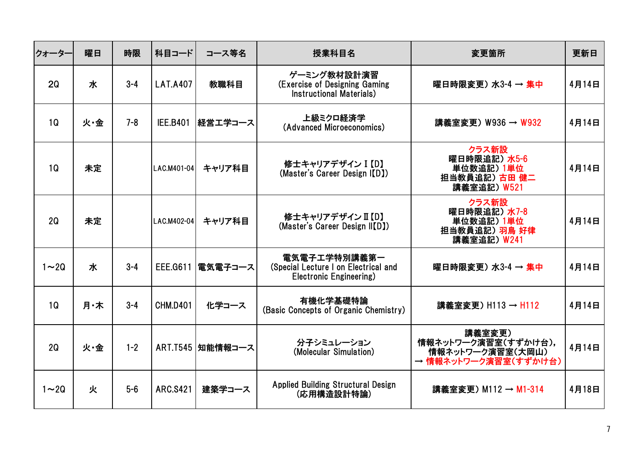| クォーター          | 曜日  | 時限      | 科目コード           | コース等名              | 授業科目名                                                                           | 変更箇所                                                                      | 更新日   |
|----------------|-----|---------|-----------------|--------------------|---------------------------------------------------------------------------------|---------------------------------------------------------------------------|-------|
| 20             | 水   | $3 - 4$ | <b>LAT.A407</b> | 教職科目               | ゲーミング教材設計演習<br>(Exercise of Designing Gaming<br>Instructional Materials)        | 曜日時限変更) 水3-4 → 集中                                                         | 4月14日 |
| 1 <sub>Q</sub> | 火·金 | $7 - 8$ | <b>IEE.B401</b> | 経営エ学コース            | 上級ミクロ経済学<br>(Advanced Microeconomics)                                           | 講義室変更) W936 → W932                                                        | 4月14日 |
| 1 <sub>Q</sub> | 未定  |         | LAC.M401-04     | キャリア科目             | 修士キャリアデザイン I 【D】<br>(Master's Career Design I(D)                                | クラス新設<br>曜日時限追記)水5-6<br>単位数追記) 1単位<br>担当教員追記) 古田 健二<br>講義室追記) W521        | 4月14日 |
| 2Q             | 未定  |         | LAC.M402-04     | キャリア科目             | 修士キャリアデザイン II 【D】<br>(Master's Career Design II [D])                            | クラス新設<br>曜日時限追記)水7-8<br>単位数追記) 1単位<br>担当教員追記) 羽鳥 好律<br>講義室追記) W241        | 4月14日 |
| $1 \sim 20$    | 水   | $3 - 4$ | EEE.G611        | 電気電子コース            | 電気電子工学特別講義第一<br>(Special Lecture I on Electrical and<br>Electronic Engineering) | 曜日時限変更) 水3-4 → 集中                                                         | 4月14日 |
| 1 <sub>Q</sub> | 月·木 | $3 - 4$ | <b>CHM.D401</b> | 化学コース              | 有機化学基礎特論<br>(Basic Concepts of Organic Chemistry)                               | 講義室変更) H113 → H112                                                        | 4月14日 |
| 2Q             | 火·金 | $1 - 2$ |                 | ART.T545   知能情報コース | 分子シミュレーション<br>(Molecular Simulation)                                            | 講義室変更)<br>情報ネットワーク演習室(すずかけ台),<br>情報ネットワーク演習室(大岡山)<br>→ 情報ネットワーク演習室(すずかけ台) | 4月14日 |
| $1 \sim 20$    | 火   | $5-6$   | <b>ARC.S421</b> | 建築学コース             | <b>Applied Building Structural Design</b><br>(応用構造設計特論)                         | 講義室変更) M112 → M1-314                                                      | 4月18日 |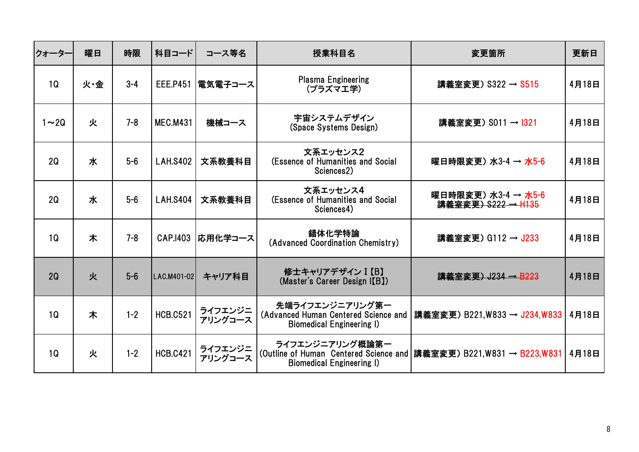| クォータ-          | 曜日  | 時限      | 科目コード           | コース等名              | 授業科目名                                                                                       | 変更箇所                                                                  | 更新日   |
|----------------|-----|---------|-----------------|--------------------|---------------------------------------------------------------------------------------------|-----------------------------------------------------------------------|-------|
| 1Q             | 火·金 | $3 - 4$ | <b>EEE.P451</b> | 電気電子コース            | <b>Plasma Engineering</b><br>(プラズマエ学)                                                       | 講義室変更) S322 → S515                                                    | 4月18日 |
| $1 - 20$       | 火   | $7 - 8$ | <b>MEC.M431</b> | 機械コース              | 宇宙システムデザイン<br>(Space Systems Design)                                                        | 講義室変更) S011 → I321                                                    | 4月18日 |
| 2Q             | 水   | $5-6$   | <b>LAH.S402</b> | 文系教養科目             | 文系エッセンス2<br>(Essence of Humanities and Social<br>Sciences2)                                 | 曜日時限変更) 水3-4 → 水5-6                                                   | 4月18日 |
| 2Q             | 水   | $5-6$   | <b>LAH.S404</b> | 文系教養科目             | 文系エッセンス4<br>(Essence of Humanities and Social<br>Sciences4)                                 | 曜日時限変更)水3-4→水5-6<br>講義室変更) S222 → H135                                | 4月18日 |
| 1 <sub>Q</sub> | 木   | $7 - 8$ | CAP.1403        | 応用化学コース            | 錯体化学特論<br>(Advanced Coordination Chemistry)                                                 | 講義室変更) G112 → J233                                                    | 4月18日 |
| 2Q             | 火   | $5-6$   | LAC.M401-02     | キャリア科目             | 修士キャリアデザイン I 【B】<br>(Master's Career Design I(B))                                           | 講義室変更) J234 → B223                                                    | 4月18日 |
| 1Q             | 木   | $1 - 2$ | <b>HCB.C521</b> | ライフエンジニ<br>アリングコース | 先端ライフエンジニアリング第一<br>(Advanced Human Centered Science and<br><b>Biomedical Engineering I)</b> | 講義室変更) B221,W833 → J234,W833                                          | 4月18日 |
| 1Q             | 火   | $1 - 2$ | <b>HCB.C421</b> | ライフエンジニ<br>アリングコース | ライフエンジニアリング概論第一<br><b>Biomedical Engineering I)</b>                                         | (Outline of Human Centered Science and   講義室変更) B221,W831 → B223,W831 | 4月18日 |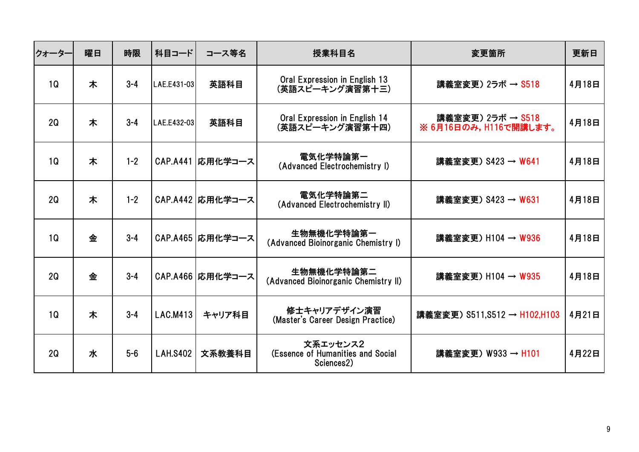| クォーター          | 曜日 | 時限      | 科目コード           | コース等名              | 授業科目名                                                       | 変更箇所                                        | 更新日   |
|----------------|----|---------|-----------------|--------------------|-------------------------------------------------------------|---------------------------------------------|-------|
| 1Q             | 木  | $3 - 4$ | LAE.E431-03     | 英語科目               | Oral Expression in English 13<br>(英語スピーキング演習第十三)            | 講義室変更) 2ラボ → S518                           | 4月18日 |
| 2Q             | 木  | $3 - 4$ | LAE.E432-03     | 英語科目               | Oral Expression in English 14<br>(英語スピーキング演習第十四)            | 講義室変更) 2ラボ → S518<br>※ 6月16日のみ, H116で開講します。 | 4月18日 |
| 1Q             | 木  | $1 - 2$ |                 | CAP.A441   応用化学コース | 電気化学特論第一<br>(Advanced Electrochemistry I)                   | 講義室変更) S423 → W641                          | 4月18日 |
| 2Q             | 木  | $1 - 2$ |                 | CAP.A442   応用化学コース | 電気化学特論第二<br>(Advanced Electrochemistry II)                  | 講義室変更) S423 → W631                          | 4月18日 |
| 1 <sub>Q</sub> | 金  | $3 - 4$ |                 | CAP.A465   応用化学コース | 生物無機化学特論第一<br>(Advanced Bioinorganic Chemistry I)           | 講義室変更) H104 → W936                          | 4月18日 |
| 2Q             | 金  | $3 - 4$ |                 | CAP.A466  応用化学コース  | 生物無機化学特論第二<br>(Advanced Bioinorganic Chemistry II)          | 講義室変更) H104 → W935                          | 4月18日 |
| 1Q             | 木  | $3 - 4$ | LAC.M413        | キャリア科目             | 修士キャリアデザイン演習<br>(Master's Career Design Practice)           | 講義室変更) S511, S512 → H102, H103              | 4月21日 |
| 2Q             | 水  | $5-6$   | <b>LAH.S402</b> | 文系教養科目             | 文系エッセンス2<br>(Essence of Humanities and Social<br>Sciences2) | 講義室変更) W933 → H101                          | 4月22日 |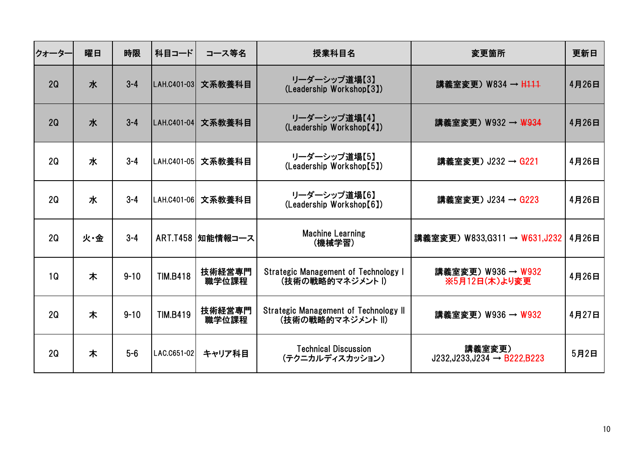| クォーター          | 曜日  | 時限       | 科目コード           | コース等名              | 授業科目名                                                      | 変更箇所                                             | 更新日   |
|----------------|-----|----------|-----------------|--------------------|------------------------------------------------------------|--------------------------------------------------|-------|
| 2Q             | 水   | $3 - 4$  | LAH.C401-03     | 文系教養科目             | リーダーシップ道場[3]<br>(Leadership Workshop[3])                   | 講義室変更) W834 → H111                               | 4月26日 |
| 2Q             | 水   | $3 - 4$  | LAH.C401-04     | 文系教養科目             | リーダーシップ道場【4】<br>(Leadership Workshop[4])                   | 講義室変更)W932 → <del>W93</del> 4                    | 4月26日 |
| 2Q             | 水   | $3 - 4$  | LAH.C401-05     | 文系教養科目             | リーダーシップ道場[5]<br>(Leadership Workshop[5])                   | 講義室変更) J232 → G221                               | 4月26日 |
| 2Q             | 水   | $3 - 4$  | LAH.C401-06     | 文系教養科目             | リーダーシップ道場【6】<br>(Leadership Workshop[6])                   | 講義室変更) J234 → G223                               | 4月26日 |
| 2Q             | 火·金 | $3 - 4$  |                 | ART.T458   知能情報コース | <b>Machine Learning</b><br>(機械学習)                          | 講義室変更) W833,G311 → W631,J232                     | 4月26日 |
| 1 <sub>Q</sub> | 木   | $9 - 10$ | <b>TIM.B418</b> | 技術経営専門<br>職学位課程    | Strategic Management of Technology I<br>(技術の戦略的マネジメント1)    | 講義室変更) W936 → W932<br>※5月12日(木)より変更              | 4月26日 |
| 2Q             | 木   | $9 - 10$ | <b>TIM.B419</b> | 技術経営専門<br>職学位課程    | Strategic Management of Technology II<br>(技術の戦略的マネジメント II) | 講義室変更) W936 → W932                               | 4月27日 |
| 2Q             | 木   | $5-6$    | LAC.C651-02     | キャリア科目             | <b>Technical Discussion</b><br>(テクニカルディスカッション)             | 講義室変更)<br>$J232,J233,J234 \rightarrow B222,B223$ | 5月2日  |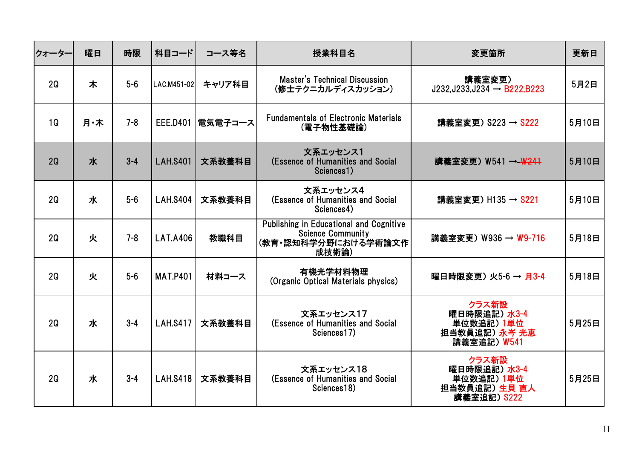| クォーター | 曜日  | 時限      | 科目コード           | コース等名              | 授業科目名                                                                                                      | 変更箇所                                                               | 更新日   |
|-------|-----|---------|-----------------|--------------------|------------------------------------------------------------------------------------------------------------|--------------------------------------------------------------------|-------|
| 2Q    | 木   | $5-6$   | LAC.M451-02     | キャリア科目             | <b>Master's Technical Discussion</b><br>(修士テクニカルディスカッション)                                                  | 講義室変更)<br>$J232,J233,J234 \rightarrow B222,B223$                   | 5月2日  |
| 1Q    | 月·木 | $7 - 8$ |                 | EEE.D401   電気電子コース | <b>Fundamentals of Electronic Materials</b><br>(電子物性基礎論)                                                   | 講義室変更) S223 → S222                                                 | 5月10日 |
| 2Q    | 水   | $3 - 4$ | <b>LAH.S401</b> | 文系教養科目             | 文系エッセンス1<br>(Essence of Humanities and Social<br>Sciences1)                                                | 講義室変更) W541 → W241                                                 | 5月10日 |
| 2Q    | 水   | $5-6$   | <b>LAH.S404</b> | 文系教養科目             | 文系エッセンス4<br>(Essence of Humanities and Social<br>Sciences4)                                                | 講義室変更) H135 → S221                                                 | 5月10日 |
| 2Q    | 火   | $7 - 8$ | <b>LAT.A406</b> | 教職科目               | <b>Publishing in Educational and Cognitive</b><br><b>Science Community</b><br>(教育・認知科学分野における学術論文作<br>成技術論) | 講義室変更) W936 → W9-716                                               | 5月18日 |
| 2Q    | 火   | $5-6$   | <b>MAT.P401</b> | 材料コース              | 有機光学材料物理<br>(Organic Optical Materials physics)                                                            | 曜日時限変更)火5-6→月3-4                                                   | 5月18日 |
| 2Q    | 水   | $3 - 4$ | <b>LAH.S417</b> | 文系教養科目             | 文系エッセンス17<br>(Essence of Humanities and Social<br>Sciences17)                                              | クラス新設<br>曜日時限追記)水3-4<br>単位数追記) 1単位<br>担当教員追記) 永岑 光恵<br>講義室追記) W541 | 5月25日 |
| 2Q    | 水   | $3 - 4$ | <b>LAH.S418</b> | 文系教養科目             | 文系エッセンス18<br>(Essence of Humanities and Social<br>Sciences18)                                              | クラス新設<br>曜日時限追記)水3-4<br>単位数追記) 1単位<br>担当教員追記) 生貝 直人<br>講義室追記) S222 | 5月25日 |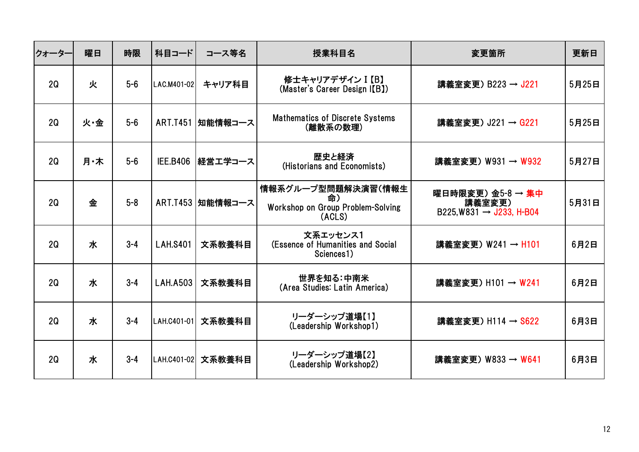| クォーター          | 曜日  | 時限      | 科目コード           | コース等名              | 授業科目名                                                                   | 変更箇所                                                             | 更新日   |
|----------------|-----|---------|-----------------|--------------------|-------------------------------------------------------------------------|------------------------------------------------------------------|-------|
| 2Q             | 火   | $5-6$   | LAC.M401-02     | キャリア科目             | 修士キャリアデザイン I 【B】<br>(Master's Career Design I(B))                       | 講義室変更) B223 → J221                                               | 5月25日 |
| 2Q             | 火·金 | $5-6$   | <b>ART.T451</b> | 知能情報コース            | <b>Mathematics of Discrete Systems</b><br>(離散系の数理)                      | 講義室変更) J221 → G221                                               | 5月25日 |
| 2Q             | 月·木 | $5-6$   | <b>IEE.B406</b> | 経営エ学コース            | 歴史と経済<br>(Historians and Economists)                                    | 講義室変更) W931 → W932                                               | 5月27日 |
| 2Q             | 金   | $5 - 8$ |                 | ART.T453   知能情報コース | 情報系グループ型問題解決演習(情報生<br>命)<br>Workshop on Group Problem-Solving<br>(ACLS) | 曜日時限変更)金5-8 → 集中<br>講義室変更)<br>$B225.W831 \rightarrow J233.H-B04$ | 5月31日 |
| 2Q             | 水   | $3 - 4$ | <b>LAH.S401</b> | 文系教養科目             | 文系エッセンス1<br>(Essence of Humanities and Social<br>Sciences1)             | 講義室変更) W241 → H101                                               | 6月2日  |
| 2Q             | 水   | $3 - 4$ | <b>LAH.A503</b> | 文系教養科目             | 世界を知る:中南米<br>(Area Studies: Latin America)                              | 講義室変更) H101 → W241                                               | 6月2日  |
| 2 <sub>Q</sub> | 水   | $3 - 4$ | LAH.C401-01     | 文系教養科目             | リーダーシップ道場【1】<br>(Leadership Workshop1)                                  | 講義室変更) H114 → S622                                               | 6月3日  |
| 2Q             | 水   | $3 - 4$ | LAH.C401-02     | 文系教養科目             | リーダーシップ道場【2】<br>(Leadership Workshop2)                                  | 講義室変更) W833 → W641                                               | 6月3日  |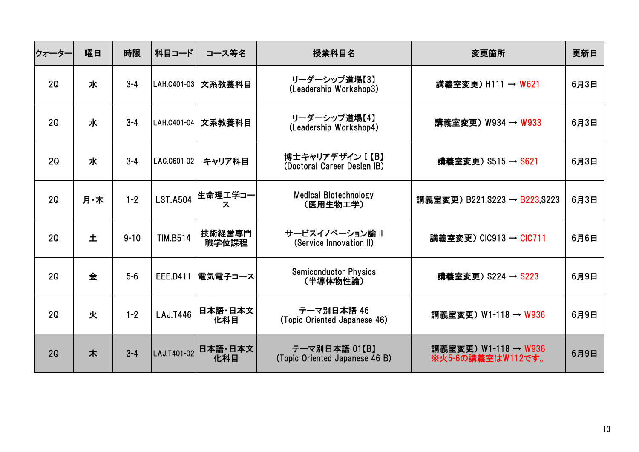| クォーター | 曜日  | 時限       | 科目コード           | コース等名           | 授業科目名                                           | 変更箇所                                      | 更新日  |
|-------|-----|----------|-----------------|-----------------|-------------------------------------------------|-------------------------------------------|------|
| 2Q    | 水   | $3 - 4$  | LAH.C401-03     | 文系教養科目          | リーダーシップ道場【3】<br>(Leadership Workshop3)          | 講義室変更) H111 → W621                        | 6月3日 |
| 2Q    | 水   | $3 - 4$  | LAH.C401-04     | 文系教養科目          | リーダーシップ道場【4】<br>(Leadership Workshop4)          | 講義室変更) W934 → W933                        | 6月3日 |
| 20    | 水   | $3 - 4$  | LAC.C601-02     | キャリア科目          | 博士キャリアデザイン I 【B】<br>(Doctoral Career Design IB) | 講義室変更) S515 → S621                        | 6月3日 |
| 2Q    | 月·木 | $1 - 2$  | <b>LST.A504</b> | 生命理工学コー<br>ス    | <b>Medical Biotechnology</b><br>(医用生物工学)        | 講義室変更) B221, S223 → B223, S223            | 6月3日 |
| 2Q    | 土   | $9 - 10$ | <b>TIM.B514</b> | 技術経営専門<br>職学位課程 | サービスイノベーション論 II<br>(Service Innovation II)      | 講義室変更) CIC913 → CIC711                    | 6月6日 |
| 2Q    | 金   | $5-6$    | <b>EEE.D411</b> | 電気電子コース         | <b>Semiconductor Physics</b><br>(半導体物性論)        | 講義室変更) S224 → S223                        | 6月9日 |
| 2Q    | 火   | $1 - 2$  | <b>LAJ.T446</b> | 日本語·日本文<br>化科目  | テーマ別日本語 46<br>(Topic Oriented Japanese 46)      | 講義室変更) W1-118 → W936                      | 6月9日 |
| 2Q    | 木   | $3 - 4$  | LAJ.T401-02     | 日本語 日本文<br>化科目  | テーマ別日本語 01【B】<br>(Topic Oriented Japanese 46 B) | 講義室変更) W1-118 → W936<br>※火5-6の講義室はW112です。 | 6月9日 |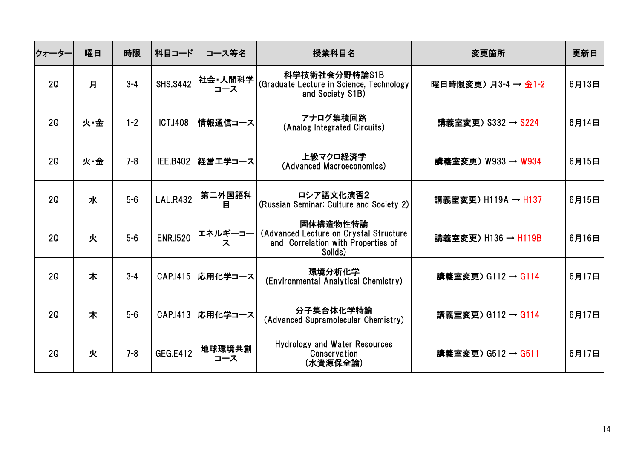| クォータ-          | 曜日  | 時限      | 科目コード           | コース等名          | 授業科目名                                                                                               | 変更箇所                | 更新日   |
|----------------|-----|---------|-----------------|----------------|-----------------------------------------------------------------------------------------------------|---------------------|-------|
| 2Q             | 月   | $3 - 4$ | <b>SHS.S442</b> | 社会·人間科学<br>コース | 科学技術社会分野特論S1B<br>(Graduate Lecture in Science, Technology<br>and Society S1B)                       | 曜日時限変更) 月3-4 → 金1-2 | 6月13日 |
| 2Q             | 火·金 | $1 - 2$ | <b>ICT.I408</b> | 情報通信コース        | アナログ集積回路<br>(Analog Integrated Circuits)                                                            | 講義室変更) S332 → S224  | 6月14日 |
| 2Q             | 火·金 | $7 - 8$ | <b>IEE.B402</b> | 経営エ学コース        | 上級マクロ経済学<br>(Advanced Macroeconomics)                                                               | 講義室変更) W933 → W934  | 6月15日 |
| 2Q             | 水   | $5-6$   | <b>LAL.R432</b> | 第二外国語科<br>目    | ロシア語文化演習2<br>(Russian Seminar: Culture and Society 2)                                               | 講義室変更) H119A → H137 | 6月15日 |
| 2Q             | 火   | $5-6$   | <b>ENR.1520</b> | エネルギーコー<br>ス   | 固体構造物性特論<br>(Advanced Lecture on Crystal Structure<br>and Correlation with Properties of<br>Solids) | 講義室変更) H136 → H119B | 6月16日 |
| 2 <sub>Q</sub> | 木   | $3 - 4$ | CAP.1415        | 応用化学コース        | 環境分析化学<br>(Environmental Analytical Chemistry)                                                      | 講義室変更) G112 → G114  | 6月17日 |
| 2Q             | 木   | $5-6$   | CAP.1413        | 応用化学コース        | 分子集合体化学特論<br>(Advanced Supramolecular Chemistry)                                                    | 講義室変更) G112 → G114  | 6月17日 |
| 2Q             | 火   | $7 - 8$ | <b>GEG.E412</b> | 地球環境共創<br>コース  | <b>Hydrology and Water Resources</b><br>Conservation<br>(水資源保全論)                                    | 講義室変更) G512 → G511  | 6月17日 |